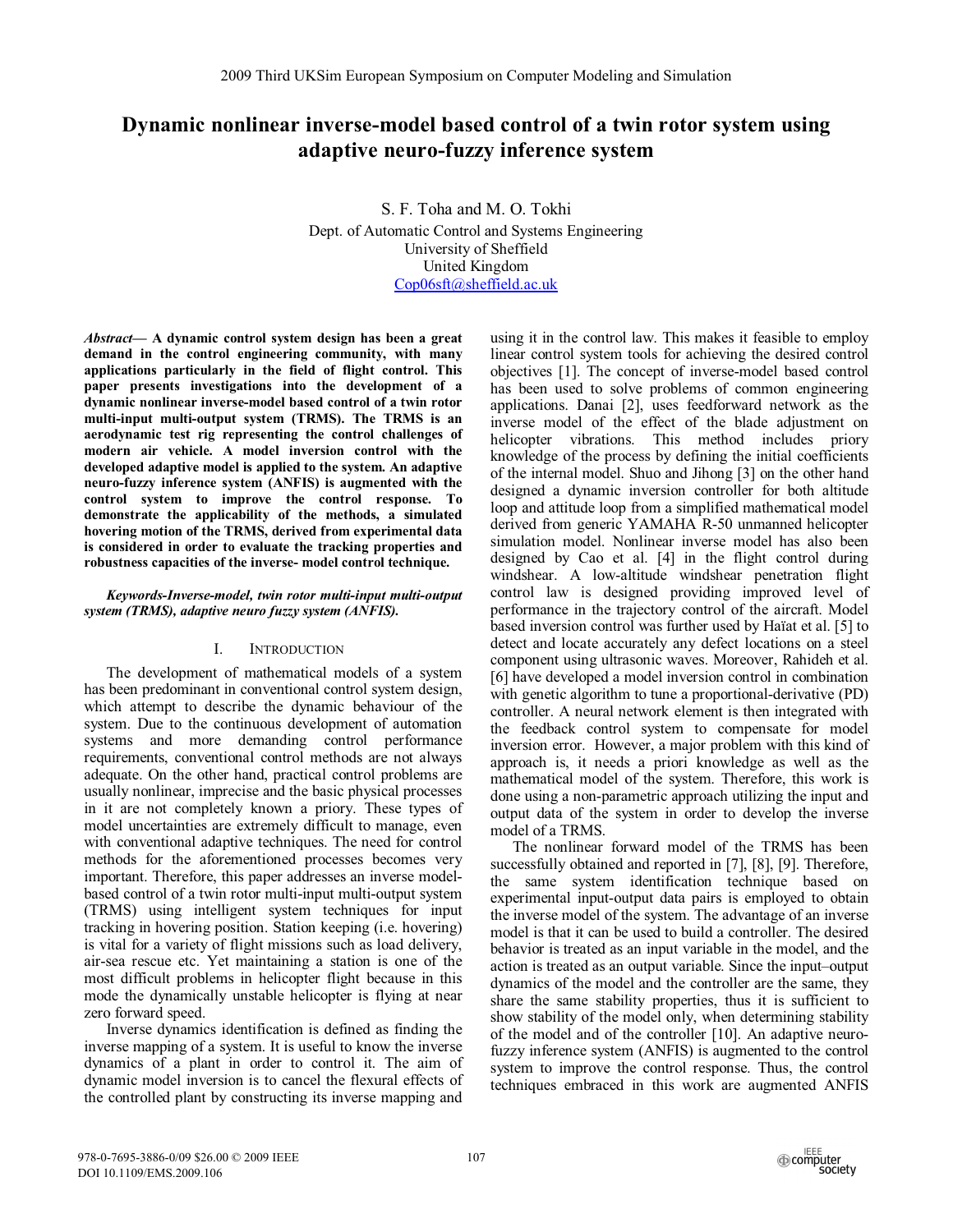# **Dynamic nonlinear inverse-model based control of a twin rotor system using adaptive neuro-fuzzy inference system**

S. F. Toha and M. O. Tokhi Dept. of Automatic Control and Systems Engineering University of Sheffield United Kingdom Cop06sft@sheffield.ac.uk

*Abstract***— A dynamic control system design has been a great demand in the control engineering community, with many applications particularly in the field of flight control. This paper presents investigations into the development of a dynamic nonlinear inverse-model based control of a twin rotor multi-input multi-output system (TRMS). The TRMS is an aerodynamic test rig representing the control challenges of modern air vehicle. A model inversion control with the developed adaptive model is applied to the system. An adaptive neuro-fuzzy inference system (ANFIS) is augmented with the control system to improve the control response. To demonstrate the applicability of the methods, a simulated hovering motion of the TRMS, derived from experimental data is considered in order to evaluate the tracking properties and robustness capacities of the inverse- model control technique.**

## *Keywords-Inverse-model, twin rotor multi-input multi-output system (TRMS), adaptive neuro fuzzy system (ANFIS).*

# I. INTRODUCTION

The development of mathematical models of a system has been predominant in conventional control system design, which attempt to describe the dynamic behaviour of the system. Due to the continuous development of automation systems and more demanding control performance requirements, conventional control methods are not always adequate. On the other hand, practical control problems are usually nonlinear, imprecise and the basic physical processes in it are not completely known a priory. These types of model uncertainties are extremely difficult to manage, even with conventional adaptive techniques. The need for control methods for the aforementioned processes becomes very important. Therefore, this paper addresses an inverse modelbased control of a twin rotor multi-input multi-output system (TRMS) using intelligent system techniques for input tracking in hovering position. Station keeping (i.e. hovering) is vital for a variety of flight missions such as load delivery, air-sea rescue etc. Yet maintaining a station is one of the most difficult problems in helicopter flight because in this mode the dynamically unstable helicopter is flying at near zero forward speed.

Inverse dynamics identification is defined as finding the inverse mapping of a system. It is useful to know the inverse dynamics of a plant in order to control it. The aim of dynamic model inversion is to cancel the flexural effects of the controlled plant by constructing its inverse mapping and

using it in the control law. This makes it feasible to employ linear control system tools for achieving the desired control objectives [1]. The concept of inverse-model based control has been used to solve problems of common engineering applications. Danai [2], uses feedforward network as the inverse model of the effect of the blade adjustment on helicopter vibrations. This method includes priory knowledge of the process by defining the initial coefficients of the internal model. Shuo and Jihong [3] on the other hand designed a dynamic inversion controller for both altitude loop and attitude loop from a simplified mathematical model derived from generic YAMAHA R-50 unmanned helicopter simulation model. Nonlinear inverse model has also been designed by Cao et al. [4] in the flight control during windshear. A low-altitude windshear penetration flight control law is designed providing improved level of performance in the trajectory control of the aircraft. Model based inversion control was further used by Haïat et al. [5] to detect and locate accurately any defect locations on a steel component using ultrasonic waves. Moreover, Rahideh et al. [6] have developed a model inversion control in combination with genetic algorithm to tune a proportional-derivative (PD) controller. A neural network element is then integrated with the feedback control system to compensate for model inversion error. However, a major problem with this kind of approach is, it needs a priori knowledge as well as the mathematical model of the system. Therefore, this work is done using a non-parametric approach utilizing the input and output data of the system in order to develop the inverse model of a TRMS.

The nonlinear forward model of the TRMS has been successfully obtained and reported in [7], [8], [9]. Therefore, the same system identification technique based on experimental input-output data pairs is employed to obtain the inverse model of the system. The advantage of an inverse model is that it can be used to build a controller. The desired behavior is treated as an input variable in the model, and the action is treated as an output variable. Since the input–output dynamics of the model and the controller are the same, they share the same stability properties, thus it is sufficient to show stability of the model only, when determining stability of the model and of the controller [10]. An adaptive neurofuzzy inference system (ANFIS) is augmented to the control system to improve the control response. Thus, the control techniques embraced in this work are augmented ANFIS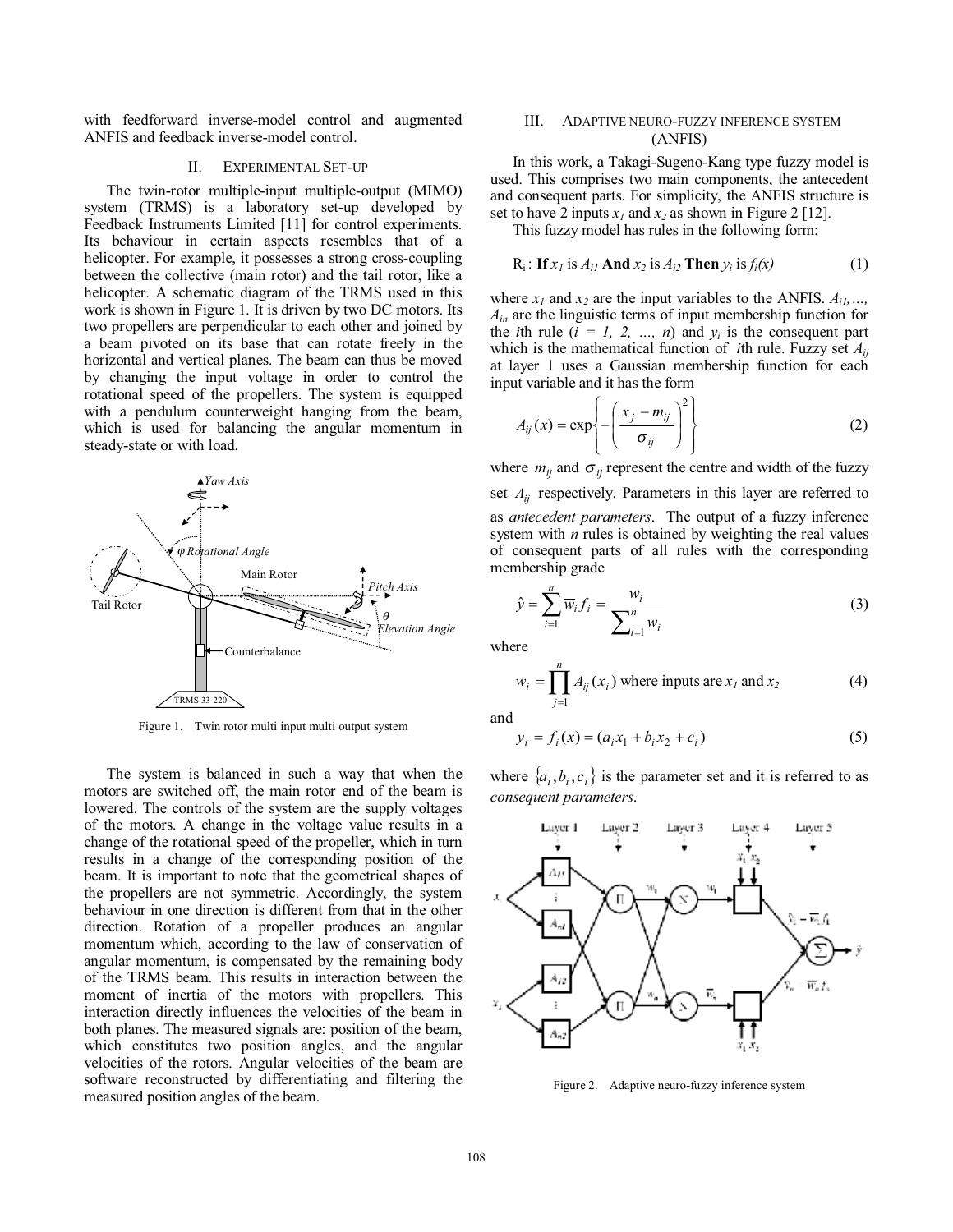with feedforward inverse-model control and augmented ANFIS and feedback inverse-model control.

#### II. EXPERIMENTAL SET-UP

The twin-rotor multiple-input multiple-output (MIMO) system (TRMS) is a laboratory set-up developed by Feedback Instruments Limited [11] for control experiments. Its behaviour in certain aspects resembles that of a helicopter. For example, it possesses a strong cross-coupling between the collective (main rotor) and the tail rotor, like a helicopter. A schematic diagram of the TRMS used in this work is shown in Figure 1. It is driven by two DC motors. Its two propellers are perpendicular to each other and joined by a beam pivoted on its base that can rotate freely in the horizontal and vertical planes. The beam can thus be moved by changing the input voltage in order to control the rotational speed of the propellers. The system is equipped with a pendulum counterweight hanging from the beam, which is used for balancing the angular momentum in steady-state or with load.



Figure 1. Twin rotor multi input multi output system

The system is balanced in such a way that when the motors are switched off, the main rotor end of the beam is lowered. The controls of the system are the supply voltages of the motors. A change in the voltage value results in a change of the rotational speed of the propeller, which in turn results in a change of the corresponding position of the beam. It is important to note that the geometrical shapes of the propellers are not symmetric. Accordingly, the system behaviour in one direction is different from that in the other direction. Rotation of a propeller produces an angular momentum which, according to the law of conservation of angular momentum, is compensated by the remaining body of the TRMS beam. This results in interaction between the moment of inertia of the motors with propellers. This interaction directly influences the velocities of the beam in both planes. The measured signals are: position of the beam, which constitutes two position angles, and the angular velocities of the rotors. Angular velocities of the beam are software reconstructed by differentiating and filtering the measured position angles of the beam.

### III. ADAPTIVE NEURO-FUZZY INFERENCE SYSTEM (ANFIS)

In this work, a Takagi-Sugeno-Kang type fuzzy model is used. This comprises two main components, the antecedent and consequent parts. For simplicity, the ANFIS structure is set to have 2 inputs  $x_1$  and  $x_2$  as shown in Figure 2 [12].

This fuzzy model has rules in the following form:

$$
R_i: \text{If } x_i \text{ is } A_{i1} \text{ And } x_2 \text{ is } A_{i2} \text{ Then } y_i \text{ is } f_i(x) \tag{1}
$$

where  $x_1$  and  $x_2$  are the input variables to the ANFIS.  $A_{i1}, \ldots$ *Ain* are the linguistic terms of input membership function for the *i*th rule  $(i = 1, 2, ..., n)$  and  $y_i$  is the consequent part which is the mathematical function of *i*th rule. Fuzzy set  $A_{ii}$ at layer 1 uses a Gaussian membership function for each input variable and it has the form

$$
A_{ij}(x) = \exp\left\{-\left(\frac{x_j - m_{ij}}{\sigma_{ij}}\right)^2\right\}
$$
 (2)

where  $m_{ij}$  and  $\sigma_{ij}$  represent the centre and width of the fuzzy set *Aij* respectively. Parameters in this layer are referred to as *antecedent parameters*. The output of a fuzzy inference system with *n* rules is obtained by weighting the real values of consequent parts of all rules with the corresponding membership grade

$$
\hat{y} = \sum_{i=1}^{n} \overline{w}_i f_i = \frac{w_i}{\sum_{i=1}^{n} w_i}
$$
\n(3)

where

$$
w_i = \prod_{j=1}^{n} A_{ij}(x_i)
$$
 where inputs are  $x_l$  and  $x_2$  (4)

and

$$
y_i = f_i(x) = (a_i x_1 + b_i x_2 + c_i)
$$
 (5)

where  $\{a_i, b_i, c_i\}$  is the parameter set and it is referred to as *consequent parameters*.



Figure 2. Adaptive neuro-fuzzy inference system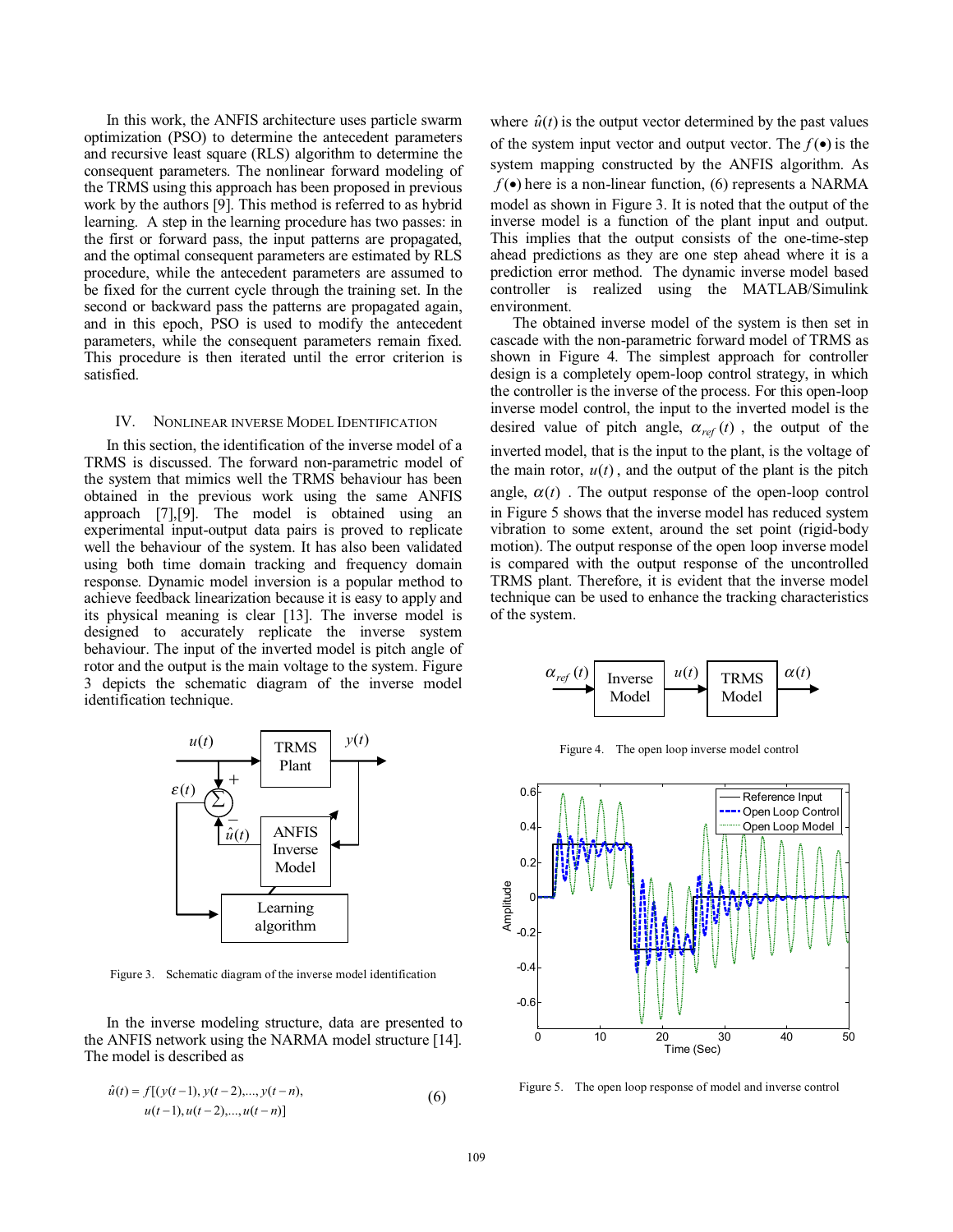In this work, the ANFIS architecture uses particle swarm optimization (PSO) to determine the antecedent parameters and recursive least square (RLS) algorithm to determine the consequent parameters. The nonlinear forward modeling of the TRMS using this approach has been proposed in previous work by the authors [9]. This method is referred to as hybrid learning. A step in the learning procedure has two passes: in the first or forward pass, the input patterns are propagated, and the optimal consequent parameters are estimated by RLS procedure, while the antecedent parameters are assumed to be fixed for the current cycle through the training set. In the second or backward pass the patterns are propagated again, and in this epoch, PSO is used to modify the antecedent parameters, while the consequent parameters remain fixed. This procedure is then iterated until the error criterion is satisfied.

### IV. NONLINEAR INVERSE MODEL IDENTIFICATION

In this section, the identification of the inverse model of a TRMS is discussed. The forward non-parametric model of the system that mimics well the TRMS behaviour has been obtained in the previous work using the same ANFIS approach [7],[9]. The model is obtained using an experimental input-output data pairs is proved to replicate well the behaviour of the system. It has also been validated using both time domain tracking and frequency domain response. Dynamic model inversion is a popular method to achieve feedback linearization because it is easy to apply and its physical meaning is clear [13]. The inverse model is designed to accurately replicate the inverse system behaviour. The input of the inverted model is pitch angle of rotor and the output is the main voltage to the system. Figure 3 depicts the schematic diagram of the inverse model identification technique.



Figure 3. Schematic diagram of the inverse model identification

In the inverse modeling structure, data are presented to the ANFIS network using the NARMA model structure [14]. The model is described as

$$
\hat{u}(t) = f[(y(t-1), y(t-2),..., y(t-n),u(t-1), u(t-2),..., u(t-n)]
$$
\n(6)

where  $\hat{u}(t)$  is the output vector determined by the past values of the system input vector and output vector. The  $f(\bullet)$  is the system mapping constructed by the ANFIS algorithm. As  $f(\bullet)$  here is a non-linear function, (6) represents a NARMA model as shown in Figure 3. It is noted that the output of the inverse model is a function of the plant input and output. This implies that the output consists of the one-time-step ahead predictions as they are one step ahead where it is a prediction error method. The dynamic inverse model based controller is realized using the MATLAB/Simulink environment.

The obtained inverse model of the system is then set in cascade with the non-parametric forward model of TRMS as shown in Figure 4. The simplest approach for controller design is a completely opem-loop control strategy, in which the controller is the inverse of the process. For this open-loop inverse model control, the input to the inverted model is the desired value of pitch angle,  $\alpha_{ref}(t)$ , the output of the inverted model, that is the input to the plant, is the voltage of the main rotor,  $u(t)$ , and the output of the plant is the pitch angle,  $\alpha(t)$ . The output response of the open-loop control in Figure 5 shows that the inverse model has reduced system vibration to some extent, around the set point (rigid-body motion). The output response of the open loop inverse model is compared with the output response of the uncontrolled TRMS plant. Therefore, it is evident that the inverse model technique can be used to enhance the tracking characteristics of the system.



Figure 4. The open loop inverse model control



Figure 5. The open loop response of model and inverse control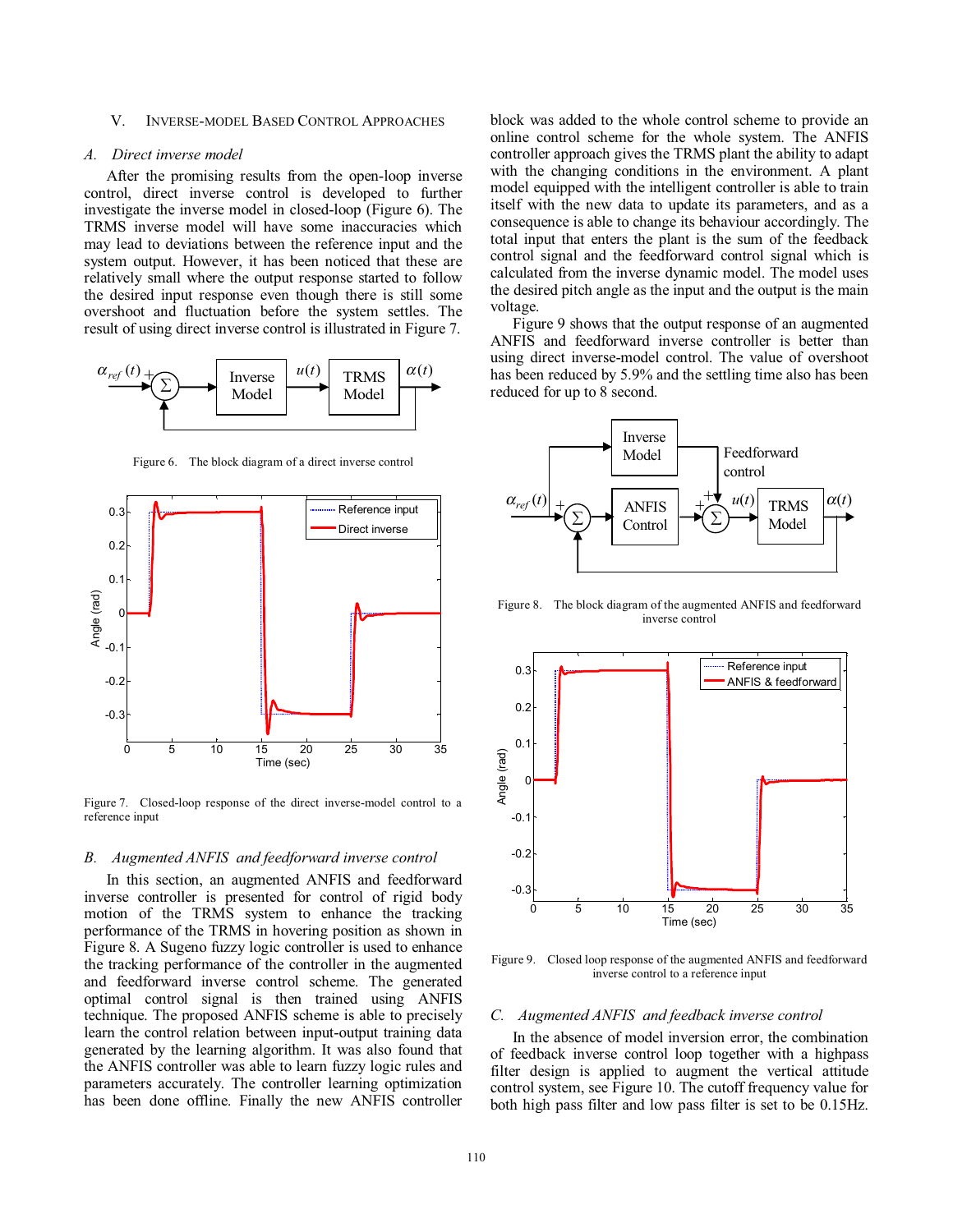# V. INVERSE-MODEL BASED CONTROL APPROACHES

### *A. Direct inverse model*

After the promising results from the open-loop inverse control, direct inverse control is developed to further investigate the inverse model in closed-loop (Figure 6). The TRMS inverse model will have some inaccuracies which may lead to deviations between the reference input and the system output. However, it has been noticed that these are relatively small where the output response started to follow the desired input response even though there is still some overshoot and fluctuation before the system settles. The result of using direct inverse control is illustrated in Figure 7.



Figure 6. The block diagram of a direct inverse control



Figure 7. Closed-loop response of the direct inverse-model control to a reference input

### *B. Augmented ANFIS and feedforward inverse control*

In this section, an augmented ANFIS and feedforward inverse controller is presented for control of rigid body motion of the TRMS system to enhance the tracking performance of the TRMS in hovering position as shown in Figure 8. A Sugeno fuzzy logic controller is used to enhance the tracking performance of the controller in the augmented and feedforward inverse control scheme. The generated optimal control signal is then trained using ANFIS technique. The proposed ANFIS scheme is able to precisely learn the control relation between input-output training data generated by the learning algorithm. It was also found that the ANFIS controller was able to learn fuzzy logic rules and parameters accurately. The controller learning optimization has been done offline. Finally the new ANFIS controller block was added to the whole control scheme to provide an online control scheme for the whole system. The ANFIS controller approach gives the TRMS plant the ability to adapt with the changing conditions in the environment. A plant model equipped with the intelligent controller is able to train itself with the new data to update its parameters, and as a consequence is able to change its behaviour accordingly. The total input that enters the plant is the sum of the feedback control signal and the feedforward control signal which is calculated from the inverse dynamic model. The model uses the desired pitch angle as the input and the output is the main voltage.

Figure 9 shows that the output response of an augmented ANFIS and feedforward inverse controller is better than using direct inverse-model control. The value of overshoot has been reduced by 5.9% and the settling time also has been reduced for up to 8 second.



Figure 8. The block diagram of the augmented ANFIS and feedforward inverse control



Figure 9. Closed loop response of the augmented ANFIS and feedforward inverse control to a reference input

### *C. Augmented ANFIS and feedback inverse control*

In the absence of model inversion error, the combination of feedback inverse control loop together with a highpass filter design is applied to augment the vertical attitude control system, see Figure 10. The cutoff frequency value for both high pass filter and low pass filter is set to be 0.15Hz.